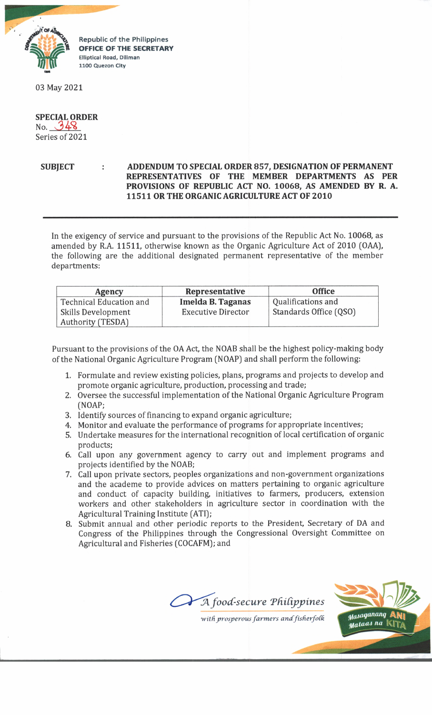

Republic of the Philippines **OFFICE OF THE SECRETARY Elliptical Road, Diliman 1100 Quezon City**

03 May 2021

## **SPECIAL ORDER** No.  $948$ Series of 2021

## **SUBJECT ADDENDUM TO SPECIAL ORDER 857, DESIGNATION OF PERMANENT REPRESENTATIVES OF THE MEMBER DEPARTMENTS AS PER PROVISIONS OF REPUBLIC ACT NO. 10068, AS AMENDED BY R. A. 11511 OR THE ORGANIC AGRICULTURE ACT OF 2010**

In the exigency of service and pursuant to the provisions of the Republic Act No. 10068, as amended by R.A. 11511, otherwise known as the Organic Agriculture Act of 2010 (OAA), the following are the additional designated permanent representative of the member departments:

| Agency                  | Representative            | <b>Office</b>          |
|-------------------------|---------------------------|------------------------|
| Technical Education and | Imelda B. Taganas         | Qualifications and     |
| Skills Development      | <b>Executive Director</b> | Standards Office (QSO) |
| Authority (TESDA)       |                           |                        |

Pursuant to the provisions of the OA Act, the NOAB shall be the highest policy-making body of the National Organic Agriculture Program (NOAP) and shall perform the following:

- 1. Formulate and review existing policies, plans, programs and projects to develop and promote organic agriculture, production, processing and trade;
- 2. Oversee the successful implementation of the National Organic Agriculture Program (NOAP;
- 3. Identify sources of financing to expand organic agriculture;
- 4. Monitor and evaluate the performance of programs for appropriate incentives;
- 5. Undertake measures for the international recognition of local certification of organic products;
- 6. Call upon any government agency to carry out and implement programs and projects identified by the NOAB;
- 7. Call upon private sectors, peoples organizations and non-government organizations and the academe to provide advices on matters pertaining to organic agriculture and conduct of capacity building, initiatives to farmers, producers, extension workers and other stakeholders in agriculture sector in coordination with the Agricultural Training Institute (ATI];
- 8. Submit annual and other periodic reports to the President, Secretary of DA and Congress of the Philippines through the Congressional Oversight Committee on Agricultural and Fisheries (COCAFM]; and

 $A$  food-secure Philippines



 $with$  prosperous farmers and fisherfolk